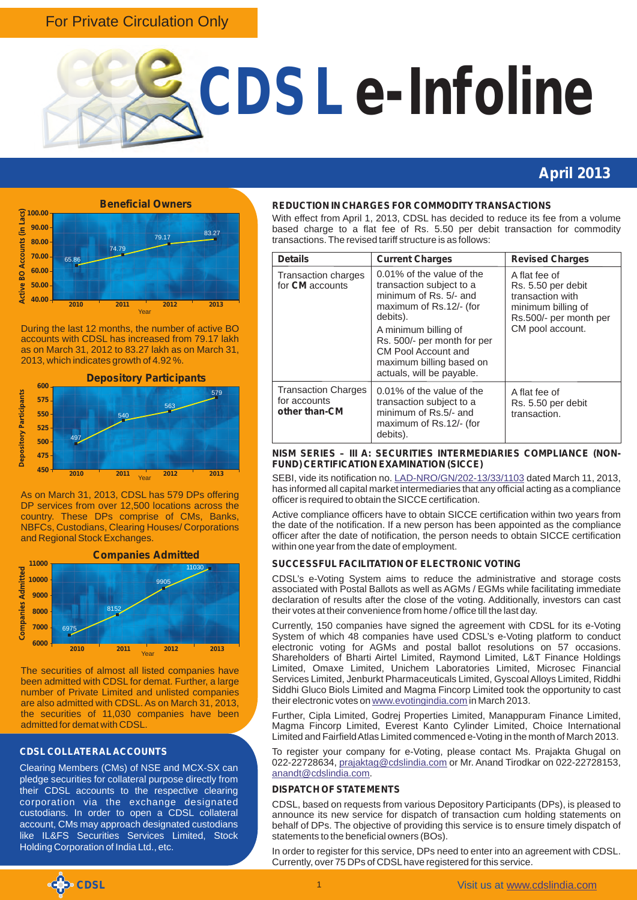# For Private Circulation Only



# **April 2013**



During the last 12 months, the number of active BO accounts with CDSL has increased from 79.17 lakh as on March 31, 2012 to 83.27 lakh as on March 31, 2013, which indicates growth of 4.92 %.



As on March 31, 2013, CDSL has 579 DPs offering DP services from over 12,500 locations across the country. These DPs comprise of CMs, Banks, NBFCs, Custodians, Clearing Houses/ Corporations and Regional Stock Exchanges.



The securities of almost all listed companies have been admitted with CDSL for demat. Further, a large number of Private Limited and unlisted companies are also admitted with CDSL. As on March 31, 2013, the securities of 11,030 companies have been admitted for demat with CDSL.

# **CDSL COLLATERAL ACCOUNTS**

Clearing Members (CMs) of NSE and MCX-SX can pledge securities for collateral purpose directly from their CDSL accounts to the respective clearing corporation via the exchange designated custodians. In order to open a CDSL collateral account, CMs may approach designated custodians like IL&FS Securities Services Limited, Stock Holding Corporation of India Ltd., etc.

#### **REDUCTION IN CHARGES FOR COMMODITY TRANSACTIONS**

With effect from April 1, 2013, CDSL has decided to reduce its fee from a volume based charge to a flat fee of Rs. 5.50 per debit transaction for commodity transactions. The revised tariff structure is as follows:

| <b>Details</b>                                              | <b>Current Charges</b>                                                                                                                                                                                                                                        | <b>Revised Charges</b><br>A flat fee of<br>Rs. 5.50 per debit<br>transaction with<br>minimum billing of<br>Rs.500/- per month per<br>CM pool account. |  |
|-------------------------------------------------------------|---------------------------------------------------------------------------------------------------------------------------------------------------------------------------------------------------------------------------------------------------------------|-------------------------------------------------------------------------------------------------------------------------------------------------------|--|
| Transaction charges<br>for <b>CM</b> accounts               | 0.01% of the value of the<br>transaction subject to a<br>minimum of Rs. 5/- and<br>maximum of Rs.12/- (for<br>debits).<br>A minimum billing of<br>Rs. 500/- per month for per<br>CM Pool Account and<br>maximum billing based on<br>actuals, will be payable. |                                                                                                                                                       |  |
| <b>Transaction Charges</b><br>for accounts<br>other than-CM | 0.01% of the value of the<br>transaction subject to a<br>minimum of Rs.5/- and<br>maximum of Rs.12/- (for<br>debits).                                                                                                                                         | A flat fee of<br>Rs. 5.50 per debit<br>transaction.                                                                                                   |  |

#### **NISM SERIES – III A: SECURITIES INTERMEDIARIES COMPLIANCE (NON-FUND) CERTIFICATION EXAMINATION (SICCE)**

SEBI,vide its notification no. LAD-NRO/GN/202-13/33/1103 dated March 11, 2013, has informed all capital market intermediaries that any official acting as a compliance officer is required to obtain the SICCE certification.

Active compliance officers have to obtain SICCE certification within two years from the date of the notification. If a new person has been appointed as the compliance officer after the date of notification, the person needs to obtain SICCE certification within one year from the date of employment.

## **SUCCESSFUL FACILITATION OF ELECTRONIC VOTING**

CDSL's e-Voting System aims to reduce the administrative and storage costs associated with Postal Ballots as well as AGMs / EGMs while facilitating immediate declaration of results after the close of the voting. Additionally, investors can cast their votes at their convenience from home / office till the last day.

Currently, 150 companies have signed the agreement with CDSL for its e-Voting System of which 48 companies have used CDSL's e-Voting platform to conduct electronic voting for AGMs and postal ballot resolutions on 57 occasions. Shareholders of Bharti Airtel Limited, Raymond Limited, L&T Finance Holdings Limited, Omaxe Limited, Unichem Laboratories Limited, Microsec Financial Services Limited, Jenburkt Pharmaceuticals Limited, Gyscoal Alloys Limited, Riddhi Siddhi Gluco Biols Limited and Magma Fincorp Limited took the opportunity to cast theirelectronic votes on www.evotingindia.com in March 2013.

Further, Cipla Limited, Godrej Properties Limited, Manappuram Finance Limited, Magma Fincorp Limited, Everest Kanto Cylinder Limited, Choice International Limited and Fairfield Atlas Limited commenced e-Voting in the month of March 2013.

To register your company for e-Voting, please contact Ms. Prajakta Ghugal on 022-22728634,prajaktag@cdslindia.com or Mr. Anand Tirodkar on 022-22728153, . <anandt@cdslindia.com>

## **DISPATCH OF STATEMENTS**

CDSL, based on requests from various Depository Participants (DPs), is pleased to announce its new service for dispatch of transaction cum holding statements on behalf of DPs. The objective of providing this service is to ensure timely dispatch of statements to the beneficial owners (BOs).

In order to register for this service, DPs need to enter into an agreement with CDSL. Currently, over 75 DPs of CDSL have registered for this service.

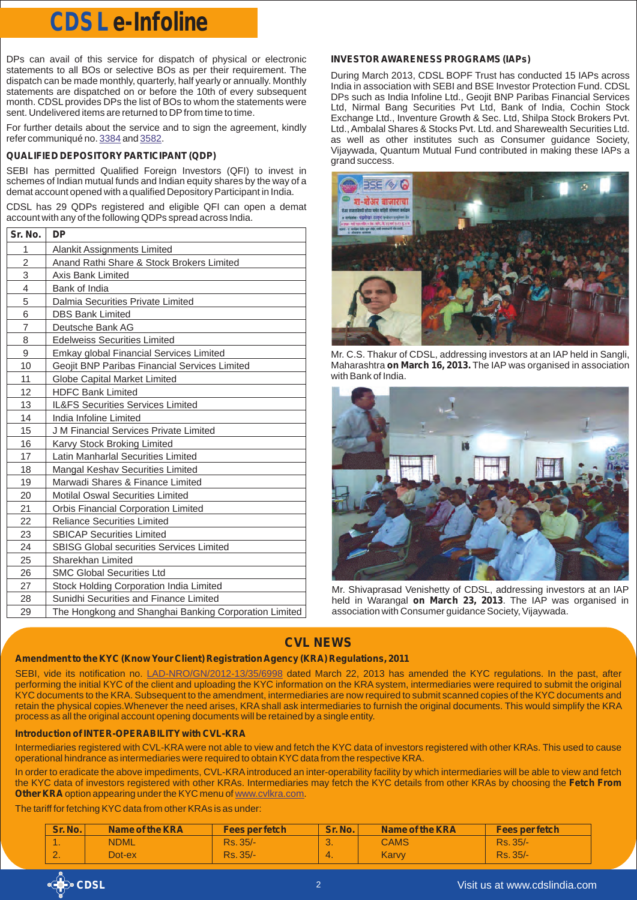# **CDSL e-Infoline**

DPs can avail of this service for dispatch of physical or electronic statements to all BOs or selective BOs as per their requirement. The dispatch can be made monthly, quarterly, half yearly or annually. Monthly statements are dispatched on or before the 10th of every subsequent month. CDSL provides DPs the list of BOs to whom the statements were sent. Undelivered items are returned to DP from time to time.

For further details about the service and to sign the agreement, kindly refer communiqué no. [3384](http://www.cdslindia.com/communiques/dp/DP-3384-Dispatch-of-Transaction-and-Holding-Statements-to-BOs.pdf) and [3582](http://www.cdslindia.com/communiques/dp/DP-3582-Dispatch-of-Transaction-and-Holding-Statements-to-BOs.pdf).

# **QUALIFIED DEPOSITORY PARTICIPANT (QDP)**

SEBI has permitted Qualified Foreign Investors (QFI) to invest in schemes of Indian mutual funds and Indian equity shares by the way of a demat account opened with a qualified Depository Participant in India.

CDSL has 29 QDPs registered and eligible QFI can open a demat account with any of the following QDPs spread across India.

| Sr. No.        | <b>DP</b>                                             |
|----------------|-------------------------------------------------------|
| 1              | Alankit Assignments Limited                           |
| $\overline{c}$ | Anand Rathi Share & Stock Brokers Limited             |
| 3              | Axis Bank Limited                                     |
| 4              | Bank of India                                         |
| 5              | Dalmia Securities Private Limited                     |
| 6              | <b>DBS Bank Limited</b>                               |
| $\overline{7}$ | Deutsche Bank AG                                      |
| 8              | <b>Edelweiss Securities Limited</b>                   |
| 9              | Emkay global Financial Services Limited               |
| 10             | Geojit BNP Paribas Financial Services Limited         |
| 11             | Globe Capital Market Limited                          |
| 12             | <b>HDFC Bank Limited</b>                              |
| 13             | <b>IL&amp;FS Securities Services Limited</b>          |
| 14             | India Infoline Limited                                |
| 15             | J M Financial Services Private Limited                |
| 16             | Karvy Stock Broking Limited                           |
| 17             | Latin Manharlal Securities Limited                    |
| 18             | Mangal Keshav Securities Limited                      |
| 19             | Marwadi Shares & Finance Limited                      |
| 20             | <b>Motilal Oswal Securities Limited</b>               |
| 21             | Orbis Financial Corporation Limited                   |
| 22             | <b>Reliance Securities Limited</b>                    |
| 23             | <b>SBICAP Securities Limited</b>                      |
| 24             | <b>SBISG Global securities Services Limited</b>       |
| 25             | Sharekhan Limited                                     |
| 26             | <b>SMC Global Securities Ltd</b>                      |
| 27             | Stock Holding Corporation India Limited               |
| 28             | Sunidhi Securities and Finance Limited                |
| 29             | The Hongkong and Shanghai Banking Corporation Limited |

# **INVESTOR AWARENESS PROGRAMS (IAPs)**

During March 2013, CDSL BOPF Trust has conducted 15 IAPs across India in association with SEBI and BSE Investor Protection Fund. CDSL DPs such as India Infoline Ltd., Geojit BNP Paribas Financial Services Ltd, Nirmal Bang Securities Pvt Ltd, Bank of India, Cochin Stock Exchange Ltd., Inventure Growth & Sec. Ltd, Shilpa Stock Brokers Pvt. Ltd., Ambalal Shares & Stocks Pvt. Ltd. and Sharewealth Securities Ltd. as well as other institutes such as Consumer guidance Society, Vijaywada, Quantum Mutual Fund contributed in making these IAPs a grand success.



Mr. C.S. Thakur of CDSL, addressing investors at an IAP held in Sangli, Maharashtra **on March 16, 2013.** The IAP was organised in association with Bank of India.



Mr. Shivaprasad Venishetty of CDSL, addressing investors at an IAP held in Warangal **on March 23, 2013**. The IAP was organised in association with Consumer guidance Society, Vijaywada.

# **CVL NEWS**

## **Amendment to the KYC (Know Your Client) Registration Agency (KRA) Regulations, 2011**

SEBI, vide its notification no. LAD-NRO/GN/2012-13/35/6998 dated March 22, 2013 has amended the KYC regulations. In the past, after performing the initial KYC of the client and uploading the KYC information on the KRA system, intermediaries were required to submit the original KYC documents to the KRA. Subsequent to the amendment, intermediaries are now required to submit scanned copies of the KYC documents and retain the physical copies.Whenever the need arises, KRA shall ask intermediaries to furnish the original documents. This would simplify the KRA process as all the original account opening documents will be retained by a single entity.

## **Introduction of INTER-OPERABILITY with CVL-KRA**

Intermediaries registered with CVL-KRA were not able to view and fetch the KYC data of investors registered with other KRAs. This used to cause operational hindrance as intermediaries were required to obtain KYC data from the respective KRA.

In order to eradicate the above impediments, CVL-KRA introduced an inter-operability facility by which intermediaries will be able to view and fetch the KYC data of investors registered with other KRAs. Intermediaries may fetch the KYC details from other KRAs by choosing the **Fetch From OtherKRA** option appearing under the KYC menu of www.cvlkra.com.

The tariff for fetching KYC data from other KRAs is as under:

| <b>Sr. No.</b> | Name of the KRA | Fees per fetch | <b>Sr. No.</b> | Name of the KRA | <b>Fees per fetch</b> |
|----------------|-----------------|----------------|----------------|-----------------|-----------------------|
|                | <b>NDML</b>     | Rs. 35/-       | .ပ.            | <b>CAMS</b>     | Rs. 35/-              |
|                | $Dot$ ex        | Rs. 35/-       | $-4.$          | Karvy           | Rs. 35/-              |